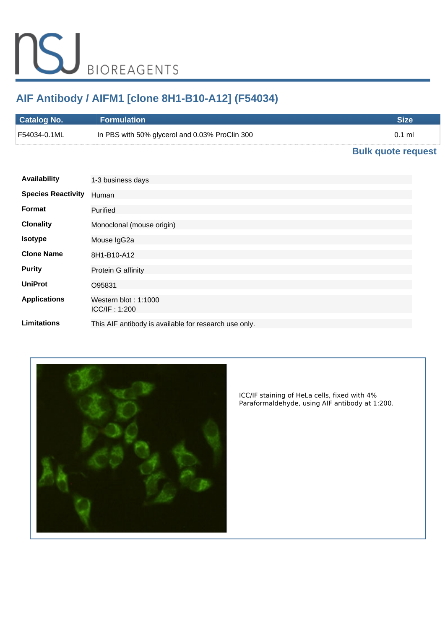# **AIF Antibody / AIFM1 [clone 8H1-B10-A12] (F54034)**

| <b>Catalog No.</b> | <b>Formulation</b>                             | Size     |
|--------------------|------------------------------------------------|----------|
| F54034-0.1ML       | In PBS with 50% glycerol and 0.03% ProClin 300 | $0.1$ ml |
|                    |                                                |          |

# **[Bulk quote request](https://www.nsjbio.com/bulk_quotereq.php?root_cat_no=F54034)**

| <b>Availability</b>       | 1-3 business days                                     |
|---------------------------|-------------------------------------------------------|
| <b>Species Reactivity</b> | Human                                                 |
| Format                    | Purified                                              |
| <b>Clonality</b>          | Monoclonal (mouse origin)                             |
| <b>Isotype</b>            | Mouse IgG2a                                           |
| <b>Clone Name</b>         | 8H1-B10-A12                                           |
| <b>Purity</b>             | Protein G affinity                                    |
| <b>UniProt</b>            | O95831                                                |
| <b>Applications</b>       | Western blot: $1:1000$<br>ICC/IF: 1:200               |
| <b>Limitations</b>        | This AIF antibody is available for research use only. |



*ICC/IF staining of HeLa cells, fixed with 4% Paraformaldehyde, using AIF antibody at 1:200.*